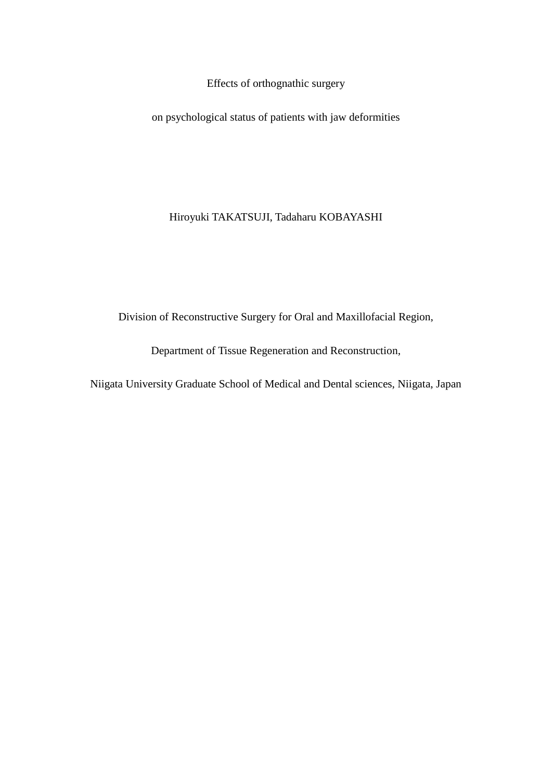Effects of orthognathic surgery

on psychological status of patients with jaw deformities

Hiroyuki TAKATSUJI, Tadaharu KOBAYASHI

Division of Reconstructive Surgery for Oral and Maxillofacial Region,

Department of Tissue Regeneration and Reconstruction,

Niigata University Graduate School of Medical and Dental sciences, Niigata, Japan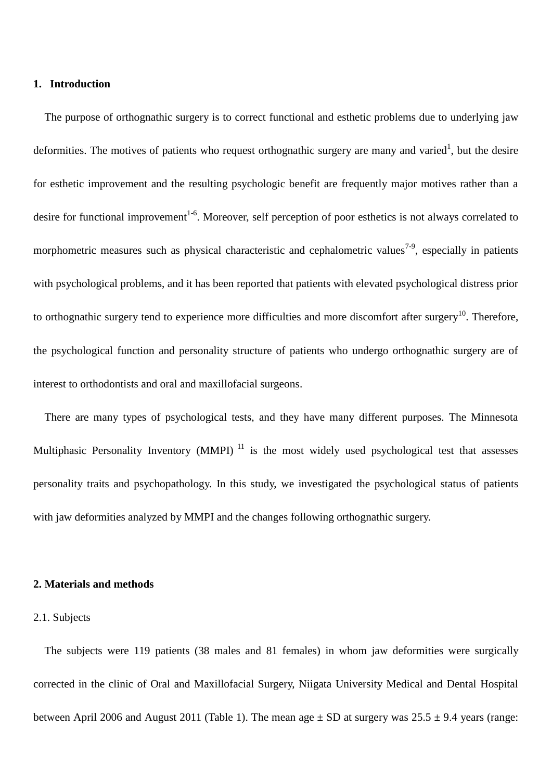#### **1. Introduction**

The purpose of orthognathic surgery is to correct functional and esthetic problems due to underlying jaw deformities. The motives of patients who request orthognathic surgery are many and varied<sup>1</sup>, but the desire for esthetic improvement and the resulting psychologic benefit are frequently major motives rather than a desire for functional improvement<sup>1-6</sup>. Moreover, self perception of poor esthetics is not always correlated to morphometric measures such as physical characteristic and cephalometric values<sup>7-9</sup>, especially in patients with psychological problems, and it has been reported that patients with elevated psychological distress prior to orthognathic surgery tend to experience more difficulties and more discomfort after surgery<sup>10</sup>. Therefore, the psychological function and personality structure of patients who undergo orthognathic surgery are of interest to orthodontists and oral and maxillofacial surgeons.

There are many types of psychological tests, and they have many different purposes. The Minnesota Multiphasic Personality Inventory (MMPI)<sup>11</sup> is the most widely used psychological test that assesses personality traits and psychopathology. In this study, we investigated the psychological status of patients with jaw deformities analyzed by MMPI and the changes following orthognathic surgery.

# **2. Materials and methods**

#### 2.1. Subjects

The subjects were 119 patients (38 males and 81 females) in whom jaw deformities were surgically corrected in the clinic of Oral and Maxillofacial Surgery, Niigata University Medical and Dental Hospital between April 2006 and August 2011 (Table 1). The mean age  $\pm$  SD at surgery was 25.5  $\pm$  9.4 years (range: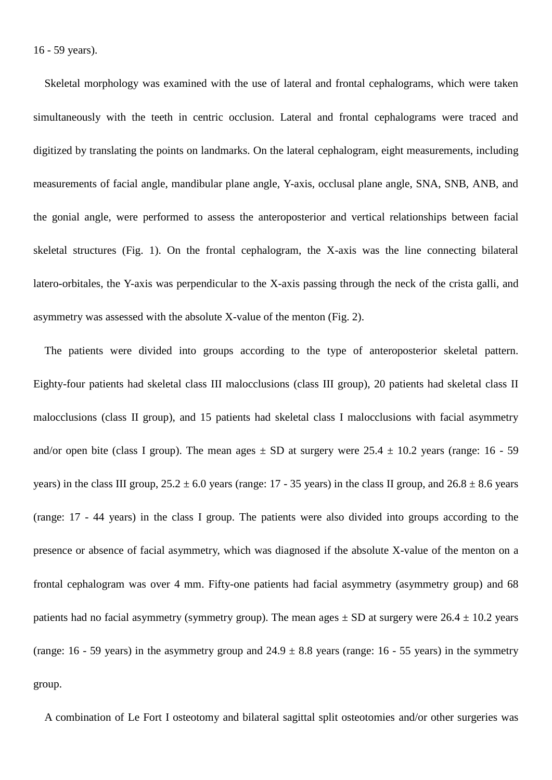Skeletal morphology was examined with the use of lateral and frontal cephalograms, which were taken simultaneously with the teeth in centric occlusion. Lateral and frontal cephalograms were traced and digitized by translating the points on landmarks. On the lateral cephalogram, eight measurements, including measurements of facial angle, mandibular plane angle, Y-axis, occlusal plane angle, SNA, SNB, ANB, and the gonial angle, were performed to assess the anteroposterior and vertical relationships between facial skeletal structures (Fig. 1). On the frontal cephalogram, the X-axis was the line connecting bilateral latero-orbitales, the Y-axis was perpendicular to the X-axis passing through the neck of the crista galli, and asymmetry was assessed with the absolute X-value of the menton (Fig. 2).

The patients were divided into groups according to the type of anteroposterior skeletal pattern. Eighty-four patients had skeletal class III malocclusions (class III group), 20 patients had skeletal class II malocclusions (class II group), and 15 patients had skeletal class I malocclusions with facial asymmetry and/or open bite (class I group). The mean ages  $\pm$  SD at surgery were 25.4  $\pm$  10.2 years (range: 16 - 59 years) in the class III group,  $25.2 \pm 6.0$  years (range: 17 - 35 years) in the class II group, and  $26.8 \pm 8.6$  years (range: 17 - 44 years) in the class I group. The patients were also divided into groups according to the presence or absence of facial asymmetry, which was diagnosed if the absolute X-value of the menton on a frontal cephalogram was over 4 mm. Fifty-one patients had facial asymmetry (asymmetry group) and 68 patients had no facial asymmetry (symmetry group). The mean ages  $\pm$  SD at surgery were 26.4  $\pm$  10.2 years (range: 16 - 59 years) in the asymmetry group and  $24.9 \pm 8.8$  years (range: 16 - 55 years) in the symmetry group.

A combination of Le Fort I osteotomy and bilateral sagittal split osteotomies and/or other surgeries was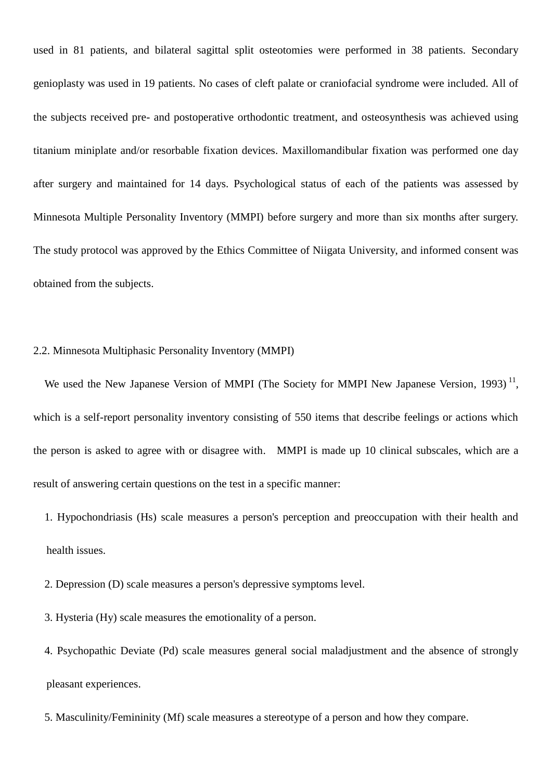used in 81 patients, and bilateral sagittal split osteotomies were performed in 38 patients. Secondary genioplasty was used in 19 patients. No cases of cleft palate or craniofacial syndrome were included. All of the subjects received pre- and postoperative orthodontic treatment, and osteosynthesis was achieved using titanium miniplate and/or resorbable fixation devices. Maxillomandibular fixation was performed one day after surgery and maintained for 14 days. Psychological status of each of the patients was assessed by Minnesota Multiple Personality Inventory (MMPI) before surgery and more than six months after surgery. The study protocol was approved by the Ethics Committee of Niigata University, and informed consent was obtained from the subjects.

### 2.2. Minnesota Multiphasic Personality Inventory (MMPI)

We used the New Japanese Version of MMPI (The Society for MMPI New Japanese Version, 1993)<sup>11</sup>, which is a self-report personality inventory consisting of 550 items that describe feelings or actions which the person is asked to agree with or disagree with. MMPI is made up 10 clinical subscales, which are a result of answering certain questions on the test in a specific manner:

- 1. Hypochondriasis (Hs) scale measures a person's perception and preoccupation with their health and health issues.
- 2. Depression (D) scale measures a person's depressive symptoms level.
- 3. Hysteria (Hy) scale measures the emotionality of a person.
- 4. Psychopathic Deviate (Pd) scale measures general social maladjustment and the absence of strongly pleasant experiences.
- 5. Masculinity/Femininity (Mf) scale measures a stereotype of a person and how they compare.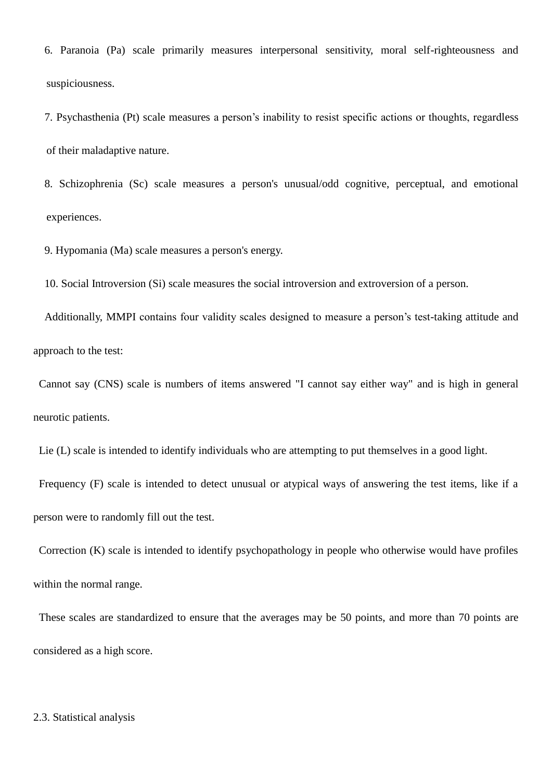6. Paranoia (Pa) scale primarily measures interpersonal sensitivity, moral self-righteousness and suspiciousness.

7. Psychasthenia (Pt) scale measures a person's inability to resist specific actions or thoughts, regardless of their maladaptive nature.

8. Schizophrenia (Sc) scale measures a person's unusual/odd cognitive, perceptual, and emotional experiences.

9. Hypomania (Ma) scale measures a person's energy.

10. Social Introversion (Si) scale measures the social introversion and extroversion of a person.

Additionally, MMPI contains four validity scales designed to measure a person's test-taking attitude and approach to the test:

Cannot say (CNS) scale is numbers of items answered "I cannot say either way" and is high in general neurotic patients.

Lie (L) scale is intended to identify individuals who are attempting to put themselves in a good light.

Frequency (F) scale is intended to detect unusual or atypical ways of answering the test items, like if a person were to randomly fill out the test.

Correction (K) scale is intended to identify psychopathology in people who otherwise would have profiles within the normal range.

These scales are standardized to ensure that the averages may be 50 points, and more than 70 points are considered as a high score.

#### 2.3. Statistical analysis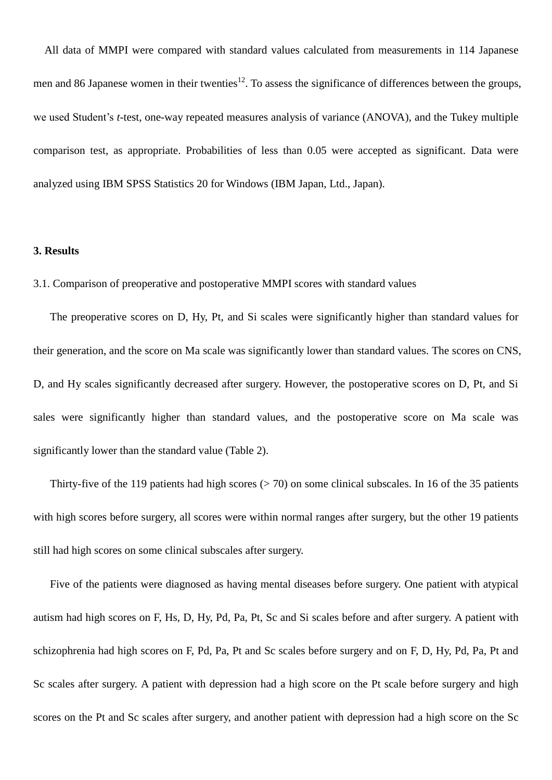All data of MMPI were compared with standard values calculated from measurements in 114 Japanese men and 86 Japanese women in their twenties $^{12}$ . To assess the significance of differences between the groups, we used Student's *t*-test, one-way repeated measures analysis of variance (ANOVA), and the Tukey multiple comparison test, as appropriate. Probabilities of less than 0.05 were accepted as significant. Data were analyzed using IBM SPSS Statistics 20 for Windows (IBM Japan, Ltd., Japan).

#### **3. Results**

3.1. Comparison of preoperative and postoperative MMPI scores with standard values

The preoperative scores on D, Hy, Pt, and Si scales were significantly higher than standard values for their generation, and the score on Ma scale was significantly lower than standard values. The scores on CNS, D, and Hy scales significantly decreased after surgery. However, the postoperative scores on D, Pt, and Si sales were significantly higher than standard values, and the postoperative score on Ma scale was significantly lower than the standard value (Table 2).

Thirty-five of the 119 patients had high scores  $(> 70)$  on some clinical subscales. In 16 of the 35 patients with high scores before surgery, all scores were within normal ranges after surgery, but the other 19 patients still had high scores on some clinical subscales after surgery.

Five of the patients were diagnosed as having mental diseases before surgery. One patient with atypical autism had high scores on F, Hs, D, Hy, Pd, Pa, Pt, Sc and Si scales before and after surgery. A patient with schizophrenia had high scores on F, Pd, Pa, Pt and Sc scales before surgery and on F, D, Hy, Pd, Pa, Pt and Sc scales after surgery. A patient with depression had a high score on the Pt scale before surgery and high scores on the Pt and Sc scales after surgery, and another patient with depression had a high score on the Sc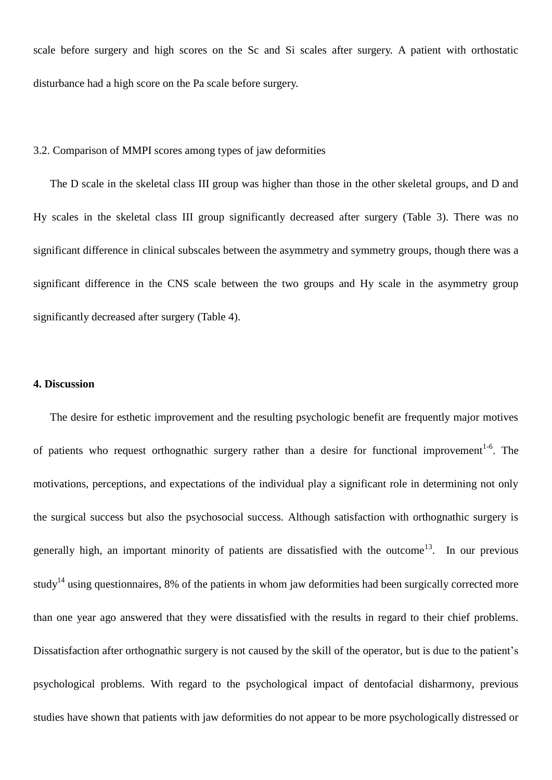scale before surgery and high scores on the Sc and Si scales after surgery. A patient with orthostatic disturbance had a high score on the Pa scale before surgery.

### 3.2. Comparison of MMPI scores among types of jaw deformities

 The D scale in the skeletal class III group was higher than those in the other skeletal groups, and D and Hy scales in the skeletal class III group significantly decreased after surgery (Table 3). There was no significant difference in clinical subscales between the asymmetry and symmetry groups, though there was a significant difference in the CNS scale between the two groups and Hy scale in the asymmetry group significantly decreased after surgery (Table 4).

## **4. Discussion**

The desire for esthetic improvement and the resulting psychologic benefit are frequently major motives of patients who request orthognathic surgery rather than a desire for functional improvement<sup>1-6</sup>. The motivations, perceptions, and expectations of the individual play a significant role in determining not only the surgical success but also the psychosocial success. Although satisfaction with orthognathic surgery is generally high, an important minority of patients are dissatisfied with the outcome<sup>13</sup>. In our previous study<sup>14</sup> using questionnaires, 8% of the patients in whom jaw deformities had been surgically corrected more than one year ago answered that they were dissatisfied with the results in regard to their chief problems. Dissatisfaction after orthognathic surgery is not caused by the skill of the operator, but is due to the patient's psychological problems. With regard to the psychological impact of dentofacial disharmony, previous studies have shown that patients with jaw deformities do not appear to be more psychologically distressed or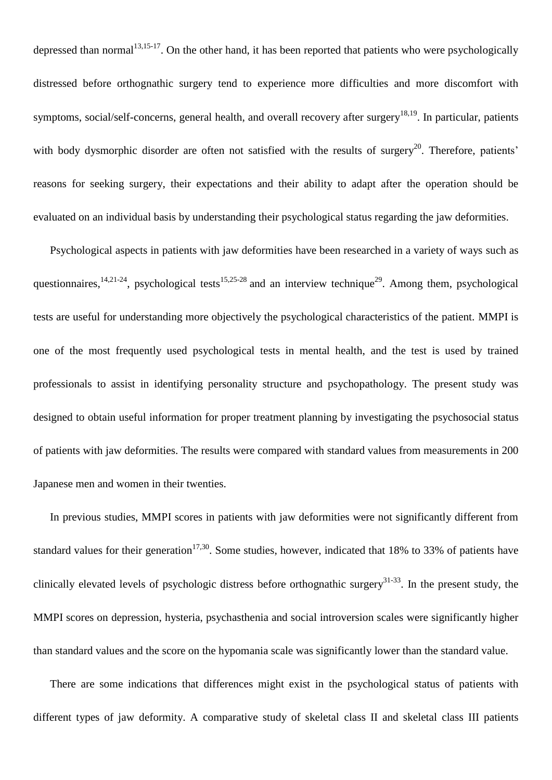depressed than normal<sup>13,15-17</sup>. On the other hand, it has been reported that patients who were psychologically distressed before orthognathic surgery tend to experience more difficulties and more discomfort with symptoms, social/self-concerns, general health, and overall recovery after surgery<sup>18,19</sup>. In particular, patients with body dysmorphic disorder are often not satisfied with the results of surgery<sup>20</sup>. Therefore, patients' reasons for seeking surgery, their expectations and their ability to adapt after the operation should be evaluated on an individual basis by understanding their psychological status regarding the jaw deformities.

Psychological aspects in patients with jaw deformities have been researched in a variety of ways such as questionnaires,  $14,21-24$ , psychological tests  $15,25-28$  and an interview technique<sup>29</sup>. Among them, psychological tests are useful for understanding more objectively the psychological characteristics of the patient. MMPI is one of the most frequently used psychological tests in mental health, and the test is used by trained professionals to assist in identifying personality structure and psychopathology. The present study was designed to obtain useful information for proper treatment planning by investigating the psychosocial status of patients with jaw deformities. The results were compared with standard values from measurements in 200 Japanese men and women in their twenties.

In previous studies, MMPI scores in patients with jaw deformities were not significantly different from standard values for their generation<sup>17,30</sup>. Some studies, however, indicated that 18% to 33% of patients have clinically elevated levels of psychologic distress before orthognathic surgery $^{31-33}$ . In the present study, the MMPI scores on depression, hysteria, psychasthenia and social introversion scales were significantly higher than standard values and the score on the hypomania scale was significantly lower than the standard value.

There are some indications that differences might exist in the psychological status of patients with different types of jaw deformity. A comparative study of skeletal class II and skeletal class III patients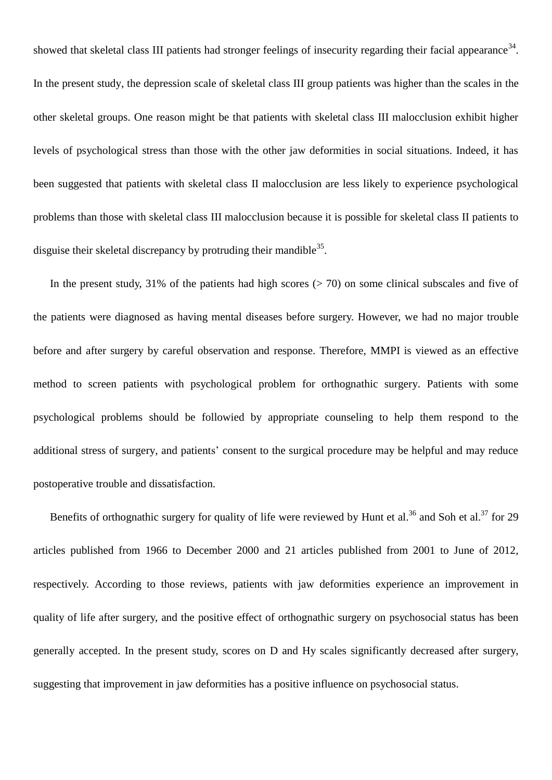showed that skeletal class III patients had stronger feelings of insecurity regarding their facial appearance<sup>34</sup>. In the present study, the depression scale of skeletal class III group patients was higher than the scales in the other skeletal groups. One reason might be that patients with skeletal class III malocclusion exhibit higher levels of psychological stress than those with the other jaw deformities in social situations. Indeed, it has been suggested that patients with skeletal class II malocclusion are less likely to experience psychological problems than those with skeletal class III malocclusion because it is possible for skeletal class II patients to disguise their skeletal discrepancy by protruding their mandible<sup>35</sup>.

In the present study,  $31\%$  of the patients had high scores ( $> 70$ ) on some clinical subscales and five of the patients were diagnosed as having mental diseases before surgery. However, we had no major trouble before and after surgery by careful observation and response. Therefore, MMPI is viewed as an effective method to screen patients with psychological problem for orthognathic surgery. Patients with some psychological problems should be followied by appropriate counseling to help them respond to the additional stress of surgery, and patients' consent to the surgical procedure may be helpful and may reduce postoperative trouble and dissatisfaction.

Benefits of orthognathic surgery for quality of life were reviewed by Hunt et al.<sup>36</sup> and Soh et al.<sup>37</sup> for 29 articles published from 1966 to December 2000 and 21 articles published from 2001 to June of 2012, respectively. According to those reviews, patients with jaw deformities experience an improvement in quality of life after surgery, and the positive effect of orthognathic surgery on psychosocial status has been generally accepted. In the present study, scores on D and Hy scales significantly decreased after surgery, suggesting that improvement in jaw deformities has a positive influence on psychosocial status.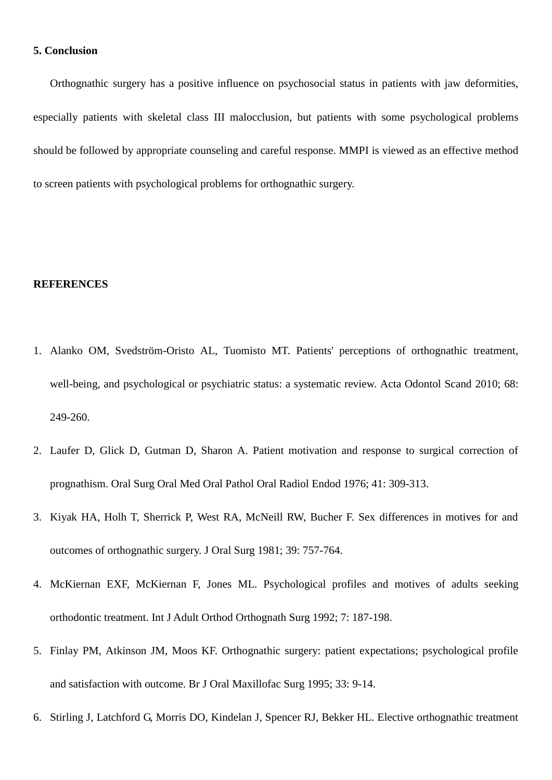## **5. Conclusion**

Orthognathic surgery has a positive influence on psychosocial status in patients with jaw deformities, especially patients with skeletal class III malocclusion, but patients with some psychological problems should be followed by appropriate counseling and careful response. MMPI is viewed as an effective method to screen patients with psychological problems for orthognathic surgery.

#### **REFERENCES**

- 1. Alanko OM, Svedström-Oristo AL, Tuomisto MT. Patients' perceptions of orthognathic treatment, well-being, and psychological or psychiatric status: a systematic review. Acta Odontol Scand 2010; 68: 249-260.
- 2. Laufer D, Glick D, Gutman D, Sharon A. Patient motivation and response to surgical correction of prognathism. Oral Surg Oral Med Oral Pathol Oral Radiol Endod 1976; 41: 309-313.
- 3. Kiyak HA, Holh T, Sherrick P, West RA, McNeill RW, Bucher F. Sex differences in motives for and outcomes of orthognathic surgery. J Oral Surg 1981; 39: 757-764.
- 4. McKiernan EXF, McKiernan F, Jones ML. Psychological profiles and motives of adults seeking orthodontic treatment. Int J Adult Orthod Orthognath Surg 1992; 7: 187-198.
- 5. Finlay PM, Atkinson JM, Moos KF. Orthognathic surgery: patient expectations; psychological profile and satisfaction with outcome. Br J Oral Maxillofac Surg 1995; 33: 9-14.
- 6. Stirling J, Latchford G, Morris DO, Kindelan J, Spencer RJ, Bekker HL. Elective orthognathic treatment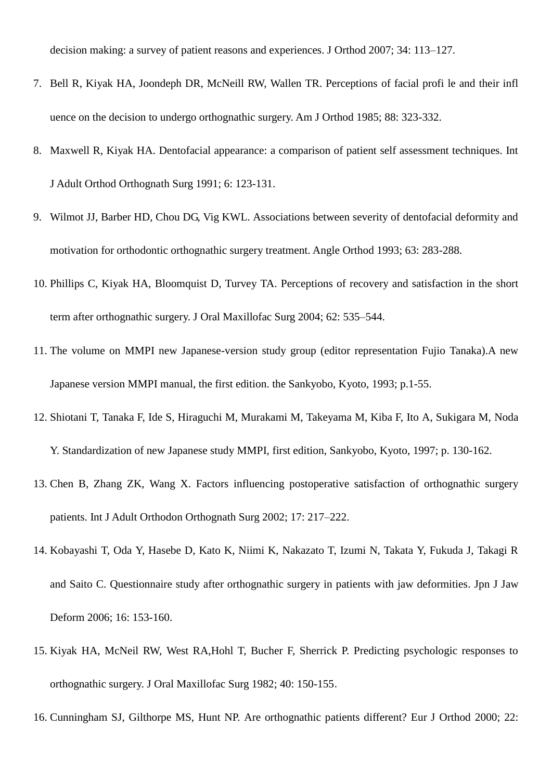decision making: a survey of patient reasons and experiences. J Orthod 2007; 34: 113–127.

- 7. Bell R, Kiyak HA, Joondeph DR, McNeill RW, Wallen TR. Perceptions of facial profi le and their infl uence on the decision to undergo orthognathic surgery. Am J Orthod 1985; 88: 323-332.
- 8. Maxwell R, Kiyak HA. Dentofacial appearance: a comparison of patient self assessment techniques. Int J Adult Orthod Orthognath Surg 1991; 6: 123-131.
- 9. Wilmot JJ, Barber HD, Chou DG, Vig KWL. Associations between severity of dentofacial deformity and motivation for orthodontic orthognathic surgery treatment. Angle Orthod 1993; 63: 283-288.
- 10. Phillips C, Kiyak HA, Bloomquist D, Turvey TA. Perceptions of recovery and satisfaction in the short term after orthognathic surgery. J Oral Maxillofac Surg 2004; 62: 535–544.
- 11. The volume on MMPI new Japanese-version study group (editor representation Fujio Tanaka).A new Japanese version MMPI manual, the first edition. the Sankyobo, Kyoto, 1993; p.1-55.
- 12. Shiotani T, Tanaka F, Ide S, Hiraguchi M, Murakami M, Takeyama M, Kiba F, Ito A, Sukigara M, Noda Y. Standardization of new Japanese study MMPI, first edition, Sankyobo, Kyoto, 1997; p. 130-162.
- 13. Chen B, Zhang ZK, Wang X. Factors influencing postoperative satisfaction of orthognathic surgery patients. Int J Adult Orthodon Orthognath Surg 2002; 17: 217–222.
- 14. Kobayashi T, Oda Y, Hasebe D, Kato K, Niimi K, Nakazato T, Izumi N, Takata Y, Fukuda J, Takagi R and Saito C. Questionnaire study after orthognathic surgery in patients with jaw deformities. Jpn J Jaw Deform 2006; 16: 153-160.
- 15. Kiyak HA, McNeil RW, West RA,Hohl T, Bucher F, Sherrick P. Predicting psychologic responses to orthognathic surgery. J Oral Maxillofac Surg 1982; 40: 150-155.
- 16. Cunningham SJ, Gilthorpe MS, Hunt NP. Are orthognathic patients different? Eur J Orthod 2000; 22: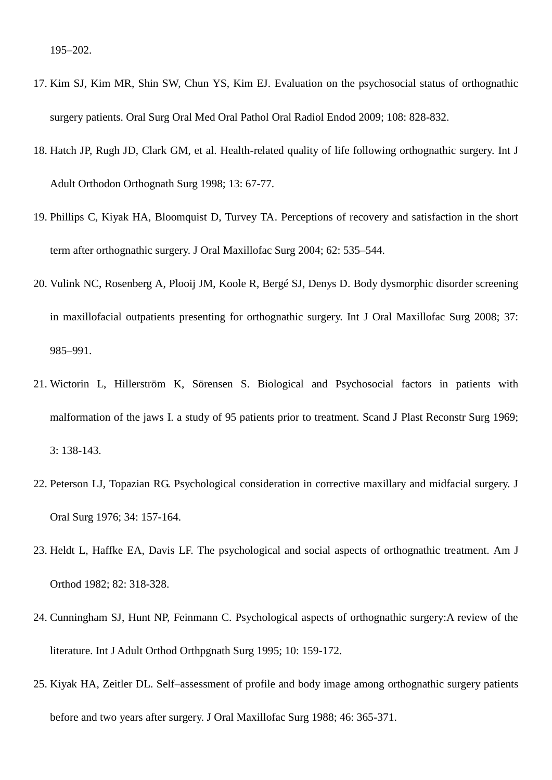- 17. Kim SJ, Kim MR, Shin SW, Chun YS, Kim EJ. Evaluation on the psychosocial status of orthognathic surgery patients. Oral Surg Oral Med Oral Pathol Oral Radiol Endod 2009; 108: 828-832.
- 18. Hatch JP, Rugh JD, Clark GM, et al. Health-related quality of life following orthognathic surgery. Int J Adult Orthodon Orthognath Surg 1998; 13: 67-77.
- 19. Phillips C, Kiyak HA, Bloomquist D, Turvey TA. Perceptions of recovery and satisfaction in the short term after orthognathic surgery. J Oral Maxillofac Surg 2004; 62: 535–544.
- 20. Vulink NC, Rosenberg A, Plooij JM, Koole R, Bergé SJ, Denys D. Body dysmorphic disorder screening in maxillofacial outpatients presenting for orthognathic surgery. Int J Oral Maxillofac Surg 2008; 37: 985–991.
- 21. Wictorin L, Hillerström K, Sörensen S. Biological and Psychosocial factors in patients with malformation of the jaws I. a study of 95 patients prior to treatment. Scand J Plast Reconstr Surg 1969; 3: 138-143.
- 22. Peterson LJ, Topazian RG. Psychological consideration in corrective maxillary and midfacial surgery. J Oral Surg 1976; 34: 157-164.
- 23. Heldt L, Haffke EA, Davis LF. The psychological and social aspects of orthognathic treatment. Am J Orthod 1982; 82: 318-328.
- 24. Cunningham SJ, Hunt NP, Feinmann C. Psychological aspects of orthognathic surgery:A review of the literature. Int J Adult Orthod Orthpgnath Surg 1995; 10: 159-172.
- 25. Kiyak HA, Zeitler DL. Self–assessment of profile and body image among orthognathic surgery patients before and two years after surgery. J Oral Maxillofac Surg 1988; 46: 365-371.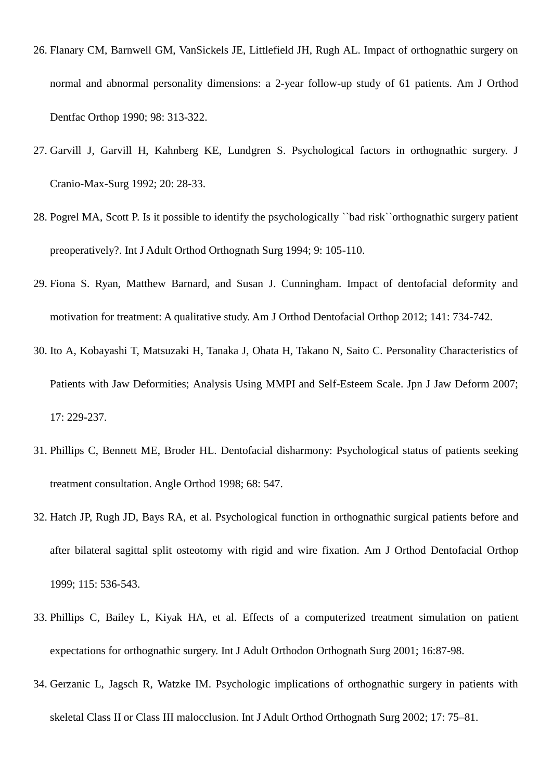- 26. Flanary CM, Barnwell GM, VanSickels JE, Littlefield JH, Rugh AL. Impact of orthognathic surgery on normal and abnormal personality dimensions: a 2-year follow-up study of 61 patients. Am J Orthod Dentfac Orthop 1990; 98: 313-322.
- 27. Garvill J, Garvill H, Kahnberg KE, Lundgren S. Psychological factors in orthognathic surgery. J Cranio-Max-Surg 1992; 20: 28-33.
- 28. Pogrel MA, Scott P. Is it possible to identify the psychologically ``bad risk``orthognathic surgery patient preoperatively?. Int J Adult Orthod Orthognath Surg 1994; 9: 105-110.
- 29. Fiona S. Ryan, Matthew Barnard, and Susan J. Cunningham. Impact of dentofacial deformity and motivation for treatment: A qualitative study. Am J Orthod Dentofacial Orthop 2012; 141: 734-742.
- 30. Ito A, Kobayashi T, Matsuzaki H, Tanaka J, Ohata H, Takano N, Saito C. Personality Characteristics of Patients with Jaw Deformities; Analysis Using MMPI and Self-Esteem Scale. Jpn J Jaw Deform 2007; 17: 229-237.
- 31. Phillips C, Bennett ME, Broder HL. Dentofacial disharmony: Psychological status of patients seeking treatment consultation. Angle Orthod 1998; 68: 547.
- 32. Hatch JP, Rugh JD, Bays RA, et al. Psychological function in orthognathic surgical patients before and after bilateral sagittal split osteotomy with rigid and wire fixation. Am J Orthod Dentofacial Orthop 1999; 115: 536-543.
- 33. Phillips C, Bailey L, Kiyak HA, et al. Effects of a computerized treatment simulation on patient expectations for orthognathic surgery. Int J Adult Orthodon Orthognath Surg 2001; 16:87-98.
- 34. Gerzanic L, Jagsch R, Watzke IM. Psychologic implications of orthognathic surgery in patients with skeletal Class II or Class III malocclusion. Int J Adult Orthod Orthognath Surg 2002; 17: 75–81.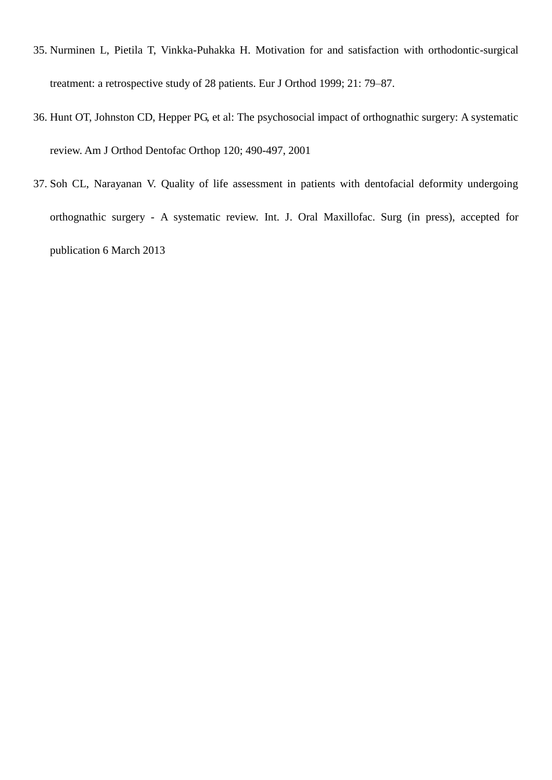- 35. Nurminen L, Pietila T, Vinkka-Puhakka H. Motivation for and satisfaction with orthodontic-surgical treatment: a retrospective study of 28 patients. Eur J Orthod 1999; 21: 79–87.
- 36. Hunt OT, Johnston CD, Hepper PG, et al: The psychosocial impact of orthognathic surgery: A systematic review. Am J Orthod Dentofac Orthop 120; 490-497, 2001
- 37. Soh CL, Narayanan V. Quality of life assessment in patients with dentofacial deformity undergoing orthognathic surgery - A systematic review. Int. J. Oral Maxillofac. Surg (in press), accepted for publication 6 March 2013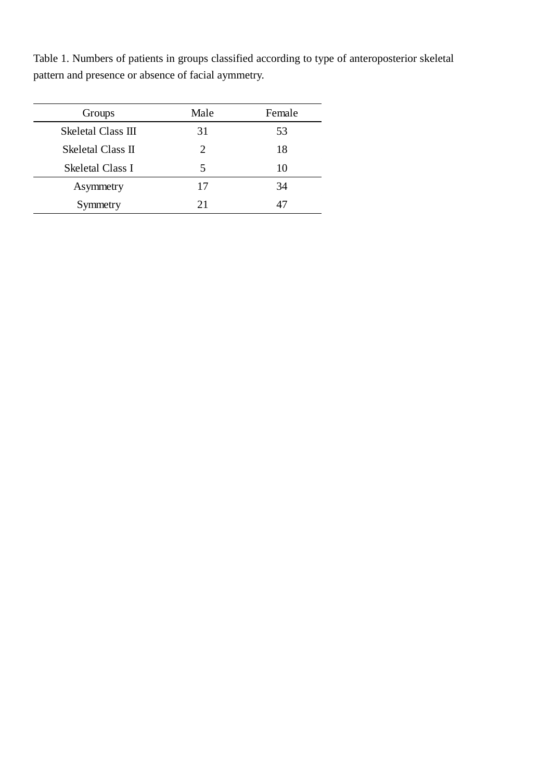Table 1. Numbers of patients in groups classified according to type of anteroposterior skeletal pattern and presence or absence of facial aymmetry.

L,

| Groups             | Male | Female |
|--------------------|------|--------|
| Skeletal Class III | 31   | 53     |
| Skeletal Class II  | 2    | 18     |
| Skeletal Class I   | 5    | 10     |
| Asymmetry          | 17   | 34     |
| Symmetry           | 21   | 47     |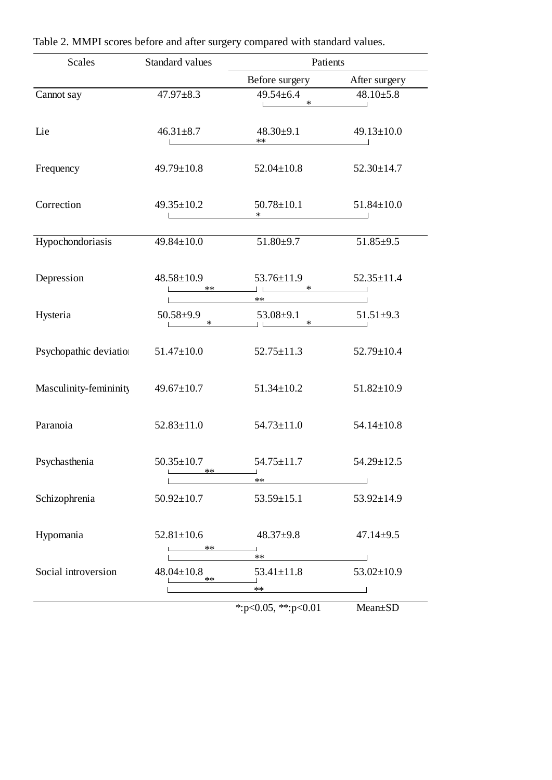| <b>Scales</b>          | Standard values                | Patients                                        |                  |  |
|------------------------|--------------------------------|-------------------------------------------------|------------------|--|
|                        |                                | Before surgery                                  | After surgery    |  |
| Cannot say             | $47.97 \pm 8.3$                | $49.54 \pm 6.4$<br>$\ast$                       | $48.10{\pm}5.8$  |  |
| Lie                    | $46.31 \pm 8.7$                | $48.30 \pm 9.1$<br>$***$                        | $49.13 \pm 10.0$ |  |
| Frequency              | $49.79 \pm 10.8$               | $52.04 \pm 10.8$                                | $52.30 \pm 14.7$ |  |
| Correction             | $49.35 \pm 10.2$               | $50.78 \pm 10.1$<br>$\ast$                      | $51.84 \pm 10.0$ |  |
| Hypochondoriasis       | $49.84 \pm 10.0$               | $51.80{\pm}9.7$                                 | $51.85 \pm 9.5$  |  |
| Depression             | $48.58 \pm 10.9$<br>$***$      | $53.76 \pm 11.9$<br>$\ast$<br><b>The Common</b> | $52.35 \pm 11.4$ |  |
| Hysteria               | $50.58 \pm 9.9$<br>$\ast$      | $***$<br>$53.08 \pm 9.1$<br>$\ast$              | $51.51 \pm 9.3$  |  |
| Psychopathic deviation | $51.47 \pm 10.0$               | $52.75 \pm 11.3$                                | $52.79 \pm 10.4$ |  |
| Masculinity-femininity | $49.67 \pm 10.7$               | $51.34 \pm 10.2$                                | $51.82 \pm 10.9$ |  |
| Paranoia               | $52.83 \pm 11.0$               | $54.73 \pm 11.0$                                | $54.14 \pm 10.8$ |  |
| Psychasthenia          | $50.35 \pm 10.7$<br>$***$      | $54.75 \pm 11.7$                                | $54.29 \pm 12.5$ |  |
| Schizophrenia          | $50.92 \pm 10.7$               | $**$<br>$53.59 \pm 15.1$                        | $53.92 \pm 14.9$ |  |
| Hypomania              | $52.81 \pm 10.6$<br>$\ast\ast$ | $48.37+9.8$                                     | $47.14 \pm 9.5$  |  |
| Social introversion    | $48.04 \pm 10.8$               | $***$<br>$53.41 \pm 11.8$                       | $53.02 \pm 10.9$ |  |
|                        | $**$                           | $***$                                           |                  |  |
|                        |                                | *: $p<0.05$ , **: $p<0.01$                      | Mean±SD          |  |

Table 2. MMPI scores before and after surgery compared with standard values.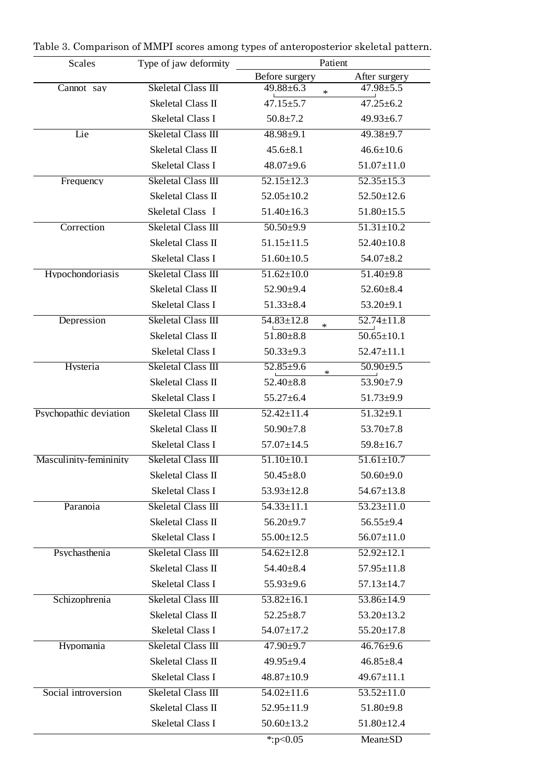| Scales                 | Type of jaw deformity     | Patient                     |                  |
|------------------------|---------------------------|-----------------------------|------------------|
|                        |                           | Before surgery              | After surgery    |
| Cannot say             | Skeletal Class III        | $49.88 \pm 6.3$<br>$\ast$   | $47.98 \pm 5.5$  |
|                        | Skeletal Class II         | $47.15 \pm 5.7$             | $47.25 \pm 6.2$  |
|                        | <b>Skeletal Class I</b>   | $50.8 \pm 7.2$              | $49.93 \pm 6.7$  |
| Lie                    | <b>Skeletal Class III</b> | $48.98 \pm 9.1$             | $49.38 \pm 9.7$  |
|                        | Skeletal Class II         | $45.6 \pm 8.1$              | $46.6 \pm 10.6$  |
|                        | <b>Skeletal Class I</b>   | $48.07 \pm 9.6$             | $51.07 \pm 11.0$ |
| Frequency              | Skeletal Class III        | $52.15 \pm 12.3$            | $52.35 \pm 15.3$ |
|                        | Skeletal Class II         | $52.05 \pm 10.2$            | $52.50 \pm 12.6$ |
|                        | Skeletal Class I          | $51.40 \pm 16.3$            | $51.80 \pm 15.5$ |
| Correction             | <b>Skeletal Class III</b> | $50.50 \pm 9.9$             | $51.31 \pm 10.2$ |
|                        | Skeletal Class II         | $51.15 \pm 11.5$            | $52.40 \pm 10.8$ |
|                        | <b>Skeletal Class I</b>   | $51.60 \pm 10.5$            | $54.07 \pm 8.2$  |
| Hypochondoriasis       | <b>Skeletal Class III</b> | $51.62 \pm 10.0$            | $51.40{\pm}9.8$  |
|                        | Skeletal Class II         | 52.90±9.4                   | $52.60 \pm 8.4$  |
|                        | <b>Skeletal Class I</b>   | $51.33 \pm 8.4$             | $53.20 \pm 9.1$  |
| Depression             | Skeletal Class III        | $54.83 \pm 12.8$<br>$\ast$  | $52.74 \pm 11.8$ |
|                        | Skeletal Class II         | $51.80 \pm 8.8$             | $50.65 \pm 10.1$ |
|                        | <b>Skeletal Class I</b>   | $50.33 \pm 9.3$             | $52.47 \pm 11.1$ |
| Hysteria               | Skeletal Class III        | $52.85 \pm 9.6$<br>$\ast$   | $50.90 \pm 9.5$  |
|                        | Skeletal Class II         | $52.40 \pm 8.8$             | 53.90±7.9        |
|                        | <b>Skeletal Class I</b>   | $55.27 \pm 6.4$             | $51.73 \pm 9.9$  |
| Psychopathic deviation | Skeletal Class III        | $52.42 \pm 11.4$            | $51.32 \pm 9.1$  |
|                        | Skeletal Class II         | $50.90 \pm 7.8$             | $53.70 \pm 7.8$  |
|                        | <b>Skeletal Class I</b>   | $57.07 \pm 14.5$            | $59.8 \pm 16.7$  |
| Masculinity-femininity | <b>Skeletal Class III</b> | $\overline{51.10} \pm 10.1$ | $51.61 \pm 10.7$ |
|                        | Skeletal Class II         | $50.45 \pm 8.0$             | $50.60{\pm}9.0$  |
|                        | Skeletal Class I          | $53.93 \pm 12.8$            | $54.67 \pm 13.8$ |
| Paranoia               | <b>Skeletal Class III</b> | $54.33 \pm 11.1$            | $53.23 \pm 11.0$ |
|                        | Skeletal Class II         | $56.20 \pm 9.7$             | $56.55 \pm 9.4$  |
|                        | <b>Skeletal Class I</b>   | $55.00 \pm 12.5$            | $56.07 \pm 11.0$ |
| Psychasthenia          | Skeletal Class III        | $54.62 \pm 12.8$            | $52.92 \pm 12.1$ |
|                        | Skeletal Class II         | $54.40 \pm 8.4$             | $57.95 \pm 11.8$ |
|                        | <b>Skeletal Class I</b>   | $55.93 \pm 9.6$             | $57.13 \pm 14.7$ |
| Schizophrenia          | Skeletal Class III        | $\overline{53.82}$ ±16.1    | 53.86±14.9       |
|                        | Skeletal Class II         | $52.25 \pm 8.7$             | $53.20 \pm 13.2$ |
|                        | <b>Skeletal Class I</b>   | 54.07±17.2                  | $55.20 \pm 17.8$ |
| Hypomania              | Skeletal Class III        | $47.90 \pm 9.7$             | $46.76 \pm 9.6$  |
|                        | Skeletal Class II         | $49.95 \pm 9.4$             | $46.85 \pm 8.4$  |
|                        | Skeletal Class I          | $48.87 \pm 10.9$            | $49.67 \pm 11.1$ |
| Social introversion    | Skeletal Class III        | $54.02 \pm 11.6$            | $53.52 \pm 11.0$ |
|                        | Skeletal Class II         | $52.95 \pm 11.9$            | $51.80{\pm}9.8$  |
|                        | <b>Skeletal Class I</b>   | $50.60 \pm 13.2$            | $51.80 \pm 12.4$ |
|                        |                           | *: $p<0.05$                 | Mean±SD          |

Table 3. Comparison of MMPI scores among types of anteroposterior skeletal pattern.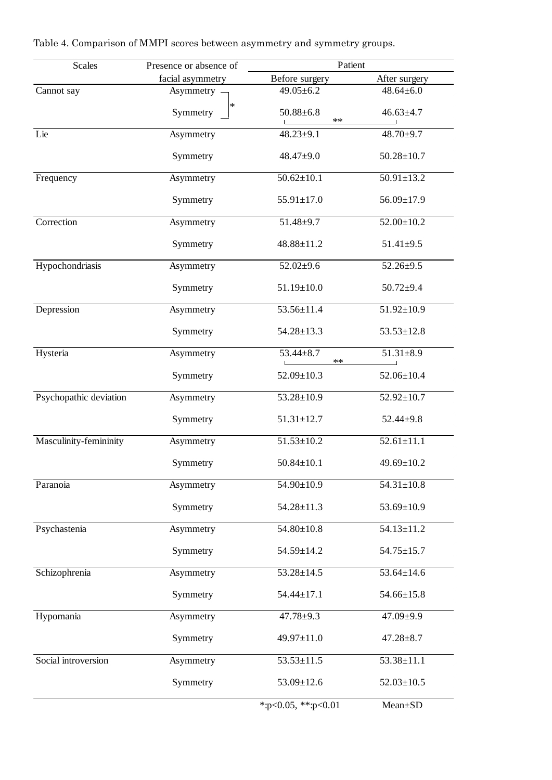| Scales                 | Presence or absence of | Patient                       |                  |
|------------------------|------------------------|-------------------------------|------------------|
|                        | facial asymmetry       | Before surgery                | After surgery    |
| Cannot say             | Asymmetry -            | $49.05 \pm 6.2$               | $48.64 \pm 6.0$  |
|                        | $\ast$<br>Symmetry     | $50.88 \pm 6.8$<br>$\ast\ast$ | $46.63 \pm 4.7$  |
| Lie                    | Asymmetry              | $48.23 + 9.1$                 | 48.70±9.7        |
|                        | Symmetry               | $48.47 \pm 9.0$               | $50.28 \pm 10.7$ |
| Frequency              | Asymmetry              | $50.62 \pm 10.1$              | $50.91 \pm 13.2$ |
|                        | Symmetry               | $55.91 \pm 17.0$              | 56.09±17.9       |
| Correction             | Asymmetry              | $51.48 + 9.7$                 | $52.00 \pm 10.2$ |
|                        | Symmetry               | 48.88±11.2                    | $51.41 \pm 9.5$  |
| Hypochondriasis        | Asymmetry              | $52.02 \pm 9.6$               | $52.26 \pm 9.5$  |
|                        | Symmetry               | $51.19 \pm 10.0$              | $50.72 + 9.4$    |
| Depression             | Asymmetry              | 53.56±11.4                    | $51.92 \pm 10.9$ |
|                        | Symmetry               | $54.28 \pm 13.3$              | $53.53 \pm 12.8$ |
| Hysteria               | Asymmetry              | $53.44 \pm 8.7$<br>$**$       | $51.31 \pm 8.9$  |
|                        | Symmetry               | $52.09 \pm 10.3$              | $52.06 \pm 10.4$ |
| Psychopathic deviation | Asymmetry              | $53.28 \pm 10.9$              | $52.92 \pm 10.7$ |
|                        | Symmetry               | $51.31 \pm 12.7$              | $52.44 \pm 9.8$  |
| Masculinity-femininity | Asymmetry              | $51.53 \pm 10.2$              | $52.61 \pm 11.1$ |
|                        | Symmetry               | $50.84 \pm 10.1$              | 49.69±10.2       |
| Paranoia               | Asymmetry              | 54.90±10.9                    | $54.31 \pm 10.8$ |
|                        | Symmetry               | $54.28 \pm 11.3$              | $53.69 \pm 10.9$ |
| Psychastenia           | Asymmetry              | $54.80 \pm 10.8$              | $54.13 \pm 11.2$ |
|                        | Symmetry               | 54.59±14.2                    | $54.75 \pm 15.7$ |
| Schizophrenia          | Asymmetry              | $53.28 \pm 14.5$              | $53.64 \pm 14.6$ |
|                        | Symmetry               | $54.44 \pm 17.1$              | $54.66 \pm 15.8$ |
| Hypomania              | Asymmetry              | $47.78 \pm 9.3$               | 47.09±9.9        |
|                        | Symmetry               | 49.97±11.0                    | $47.28 \pm 8.7$  |
| Social introversion    | Asymmetry              | $53.53 \pm 11.5$              | $53.38 \pm 11.1$ |
|                        | Symmetry               | $53.09 \pm 12.6$              | $52.03 \pm 10.5$ |
|                        |                        | *:p<0.05, **:p<0.01           | Mean±SD          |

Table 4. Comparison of MMPI scores between asymmetry and symmetry groups.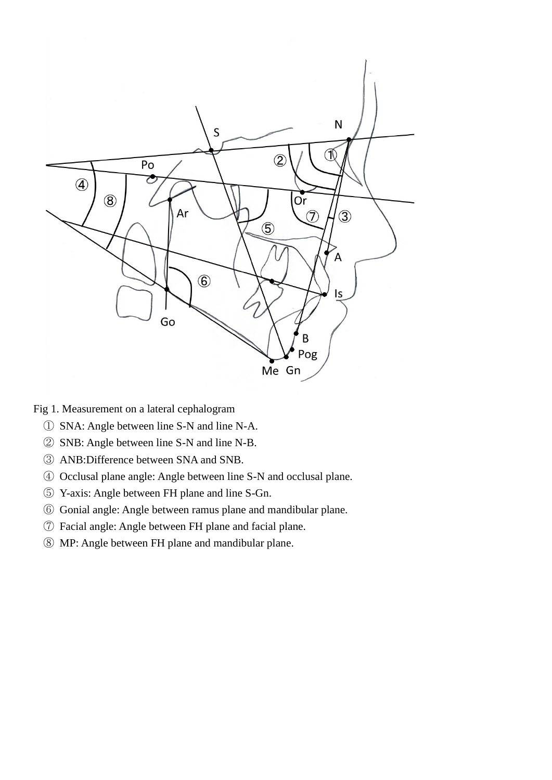

Fig 1. Measurement on a lateral cephalogram

- SNA: Angle between line S-N and line N-A.
- SNB: Angle between line S-N and line N-B.
- ANB:Difference between SNA and SNB.
- Occlusal plane angle: Angle between line S-N and occlusal plane.
- Y-axis: Angle between FH plane and line S-Gn.
- Gonial angle: Angle between ramus plane and mandibular plane.
- Facial angle: Angle between FH plane and facial plane.
- MP: Angle between FH plane and mandibular plane.